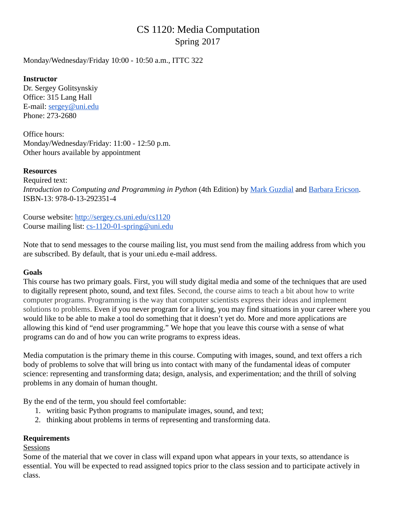# CS 1120: Media Computation Spring 2017

Monday/Wednesday/Friday 10:00 10:50 a.m., ITTC 322

### **Instructor**

Dr. Sergey Golitsynskiy Office: 315 Lang Hall E-mail: [sergey@uni.edu](mailto:sergey@uni.edu) Phone: 273-2680

Office hours: Monday/Wednesday/Friday: 11:00 - 12:50 p.m. Other hours available by appointment

#### **Resources**

Required text: *Introduction to Computing and Programming in Python (4th Edition) by Mark Guzdial and Barbara Ericson.* ISBN-13: 978-0-13-292351-4

Course website: <http://sergey.cs.uni.edu/cs1120> Course mailing list:  $cs-1120-01$ -spring@uni.edu

Note that to send messages to the course mailing list, you must send from the mailing address from which you are subscribed. By default, that is your uni.edu e-mail address.

#### **Goals**

This course has two primary goals. First, you will study digital media and some of the techniques that are used to digitally represent photo, sound, and text files. Second, the course aims to teach a bit about how to write computer programs. Programming is the way that computer scientists express their ideas and implement solutions to problems. Even if you never program for a living, you may find situations in your career where you would like to be able to make a tool do something that it doesn't yet do. More and more applications are allowing this kind of "end user programming." We hope that you leave this course with a sense of what programs can do and of how you can write programs to express ideas.

Media computation is the primary theme in this course. Computing with images, sound, and text offers a rich body of problems to solve that will bring us into contact with many of the fundamental ideas of computer science: representing and transforming data; design, analysis, and experimentation; and the thrill of solving problems in any domain of human thought.

By the end of the term, you should feel comfortable:

- 1. writing basic Python programs to manipulate images, sound, and text;
- 2. thinking about problems in terms of representing and transforming data.

#### **Requirements**

#### Sessions

Some of the material that we cover in class will expand upon what appears in your texts, so attendance is essential. You will be expected to read assigned topics prior to the class session and to participate actively in class.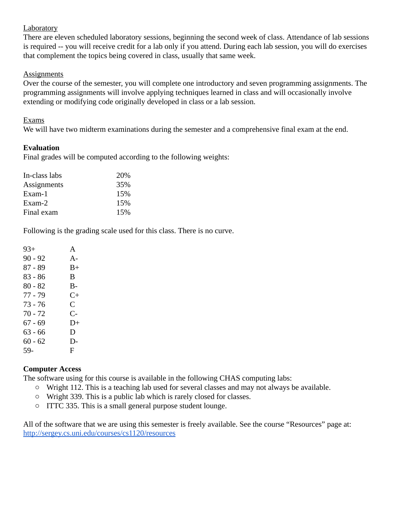#### **Laboratory**

There are eleven scheduled laboratory sessions, beginning the second week of class. Attendance of lab sessions is required -- you will receive credit for a lab only if you attend. During each lab session, you will do exercises that complement the topics being covered in class, usually that same week.

#### **Assignments**

Over the course of the semester, you will complete one introductory and seven programming assignments. The programming assignments will involve applying techniques learned in class and will occasionally involve extending or modifying code originally developed in class or a lab session.

#### Exams

We will have two midterm examinations during the semester and a comprehensive final exam at the end.

#### **Evaluation**

Final grades will be computed according to the following weights:

| In-class labs | <b>20%</b> |
|---------------|------------|
| Assignments   | 35%        |
| $Exam-1$      | 15%        |
| Exam-2        | 15%        |
| Final exam    | 15%        |
|               |            |

Following is the grading scale used for this class. There is no curve.

| $93+$     | $\mathbf{A}$ |
|-----------|--------------|
| $90 - 92$ | $A -$        |
| 87 - 89   | $B+$         |
| 83 - 86   | B            |
| $80 - 82$ | B-           |
| 77 - 79   | $C+$         |
| 73 - 76   | C            |
| 70 - 72   | $C-$         |
| 67 - 69   | $D+$         |
| 63 - 66   | D            |
| $60 - 62$ | D-           |
| 59-       | F            |

#### **Computer Access**

The software using for this course is available in the following CHAS computing labs:

- Wright 112. This is a teaching lab used for several classes and may not always be available.
- Wright 339. This is a public lab which is rarely closed for classes.
- ITTC 335. This is a small general purpose student lounge.

All of the software that we are using this semester is freely available. See the course "Resources" page at: <http://sergey.cs.uni.edu/courses/cs1120/resources>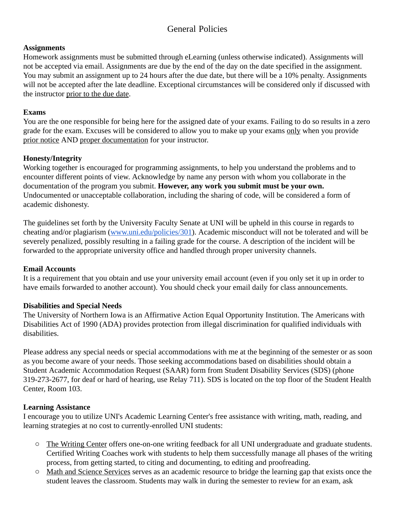# General Policies

## **Assignments**

Homework assignments must be submitted through eLearning (unless otherwise indicated). Assignments will not be accepted via email. Assignments are due by the end of the day on the date specified in the assignment. You may submit an assignment up to 24 hours after the due date, but there will be a 10% penalty. Assignments will not be accepted after the late deadline. Exceptional circumstances will be considered only if discussed with the instructor prior to the due date.

### **Exams**

You are the one responsible for being here for the assigned date of your exams. Failing to do so results in a zero grade for the exam. Excuses will be considered to allow you to make up your exams <u>only</u> when you provide prior notice AND proper documentation for your instructor.

## **Honesty/Integrity**

Working together is encouraged for programming assignments, to help you understand the problems and to encounter different points of view. Acknowledge by name any person with whom you collaborate in the documentation of the program you submit. **However, any work you submit must be your own.** Undocumented or unacceptable collaboration, including the sharing of code, will be considered a form of academic dishonesty.

The guidelines set forth by the University Faculty Senate at UNI will be upheld in this course in regards to cheating and/or plagiarism ( [www.uni.edu/policies/301 \)](http://www.uni.edu/policies/301). Academic misconduct will not be tolerated and will be severely penalized, possibly resulting in a failing grade for the course. A description of the incident will be forwarded to the appropriate university office and handled through proper university channels.

#### **Email Accounts**

It is a requirement that you obtain and use your university email account (even if you only set it up in order to have emails forwarded to another account). You should check your email daily for class announcements.

#### **Disabilities and Special Needs**

The University of Northern Iowa is an Affirmative Action Equal Opportunity Institution. The Americans with Disabilities Act of 1990 (ADA) provides protection from illegal discrimination for qualified individuals with disabilities.

Please address any special needs or special accommodations with me at the beginning of the semester or as soon as you become aware of your needs. Those seeking accommodations based on disabilities should obtain a Student Academic Accommodation Request (SAAR) form from Student Disability Services (SDS) (phone 319-273-2677, for deaf or hard of hearing, use Relay 711). SDS is located on the top floor of the Student Health Center, Room 103.

#### **Learning Assistance**

I encourage you to utilize UNI's Academic Learning Center's free assistance with writing, math, reading, and learning strategies at no cost to currently-enrolled UNI students:

- The Writing Center offers one-on-one writing feedback for all UNI undergraduate and graduate students. Certified Writing Coaches work with students to help them successfully manage all phases of the writing process, from getting started, to citing and documenting, to editing and proofreading.
- Math and Science Services serves as an academic resource to bridge the learning gap that exists once the student leaves the classroom. Students may walk in during the semester to review for an exam, ask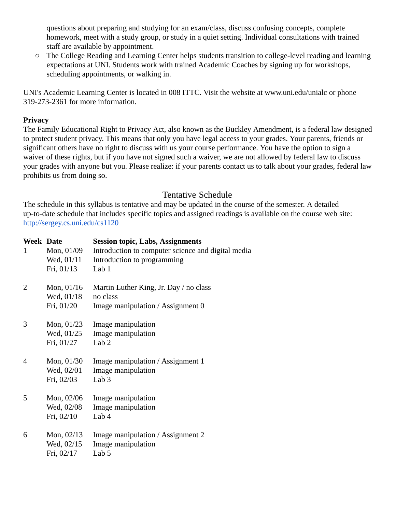questions about preparing and studying for an exam/class, discuss confusing concepts, complete homework, meet with a study group, or study in a quiet setting. Individual consultations with trained staff are available by appointment.

○ The College Reading and Learning Center helps students transition to college-level reading and learning expectations at UNI. Students work with trained Academic Coaches by signing up for workshops, scheduling appointments, or walking in.

UNI's Academic Learning Center is located in 008 ITTC. Visit the website at www.uni.edu/unialc or phone 319-273-2361 for more information.

#### **Privacy**

The Family Educational Right to Privacy Act, also known as the Buckley Amendment, is a federal law designed to protect student privacy. This means that only you have legal access to your grades. Your parents, friends or significant others have no right to discuss with us your course performance. You have the option to sign a waiver of these rights, but if you have not signed such a waiver, we are not allowed by federal law to discuss your grades with anyone but you. Please realize: if your parents contact us to talk about your grades, federal law prohibits us from doing so.

# Tentative Schedule

The schedule in this syllabus is tentative and may be updated in the course of the semester. A detailed up-to-date schedule that includes specific topics and assigned readings is available on the course web site: <http://sergey.cs.uni.edu/cs1120>

| <b>Week Date</b><br>$\mathbf{1}$ | Mon, 01/09<br>Wed, 01/11<br>Fri, 01/13 | <b>Session topic, Labs, Assignments</b><br>Introduction to computer science and digital media<br>Introduction to programming<br>Lab 1 |
|----------------------------------|----------------------------------------|---------------------------------------------------------------------------------------------------------------------------------------|
| $\overline{2}$                   | Mon, 01/16<br>Wed, 01/18<br>Fri, 01/20 | Martin Luther King, Jr. Day / no class<br>no class<br>Image manipulation / Assignment 0                                               |
| 3                                | Mon, 01/23<br>Wed, 01/25<br>Fri, 01/27 | Image manipulation<br>Image manipulation<br>Lab <sub>2</sub>                                                                          |
| $\overline{4}$                   | Mon, 01/30<br>Wed, 02/01<br>Fri, 02/03 | Image manipulation / Assignment 1<br>Image manipulation<br>Lab <sub>3</sub>                                                           |
| 5                                | Mon, 02/06<br>Wed, 02/08<br>Fri, 02/10 | Image manipulation<br>Image manipulation<br>Lab 4                                                                                     |
| 6                                | Mon, 02/13<br>Wed, 02/15<br>Fri, 02/17 | Image manipulation / Assignment 2<br>Image manipulation<br>Lab 5                                                                      |